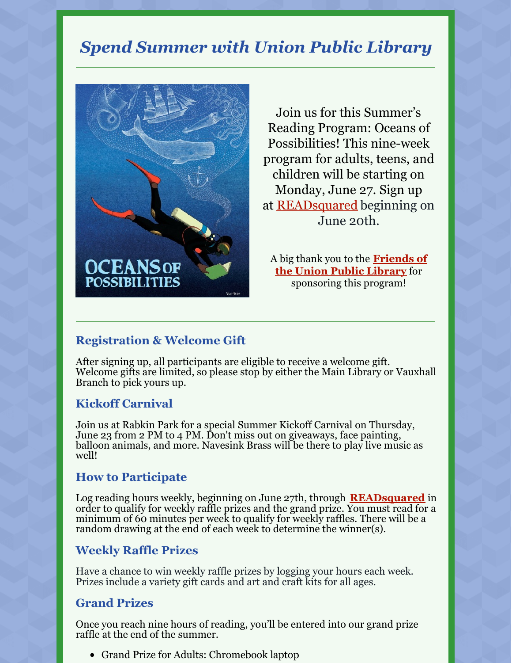## *Spend Summer with Union Public Library*



Join us for this Summer's Reading Program: Oceans of Possibilities! This nine-week program for adults, teens, and children will be starting on Monday, June 27. Sign up at [READsquared](https://uplnj.readsquared.com/) beginning on June 20th.

A big thank you to the **[Friends](https://uplnj.org/friends-of-union-public-library/) of the Union Public Library** for sponsoring this program!

#### **Registration & Welcome Gift**

After signing up, all participants are eligible to receive a welcome gift. Welcome gifts are limited, so please stop by either the Main Library or Vauxhall Branch to pick yours up.

#### **Kickoff Carnival**

Join us at Rabkin Park for a special Summer Kickoff Carnival on Thursday, June 23 from 2 PM to 4 PM. Don't miss out on giveaways, face painting, balloon animals, and more. Navesink Brass will be there to play live music as well!

#### **How to Participate**

Log reading hours weekly, beginning on June 27th, through **[READsquared](https://uplnj.readsquared.com/)** in order to qualify for weekly raffle prizes and the grand prize. You must read for a minimum of 60 minutes per week to qualify for weekly raffles. There will be a random drawing at the end of each week to determine the winner(s).

#### **Weekly Raffle Prizes**

Have a chance to win weekly raffle prizes by logging your hours each week. Prizes include a variety gift cards and art and craft kits for all ages.

#### **Grand Prizes**

Once you reach nine hours of reading, you'll be entered into our grand prize raffle at the end of the summer.

Grand Prize for Adults: Chromebook laptop